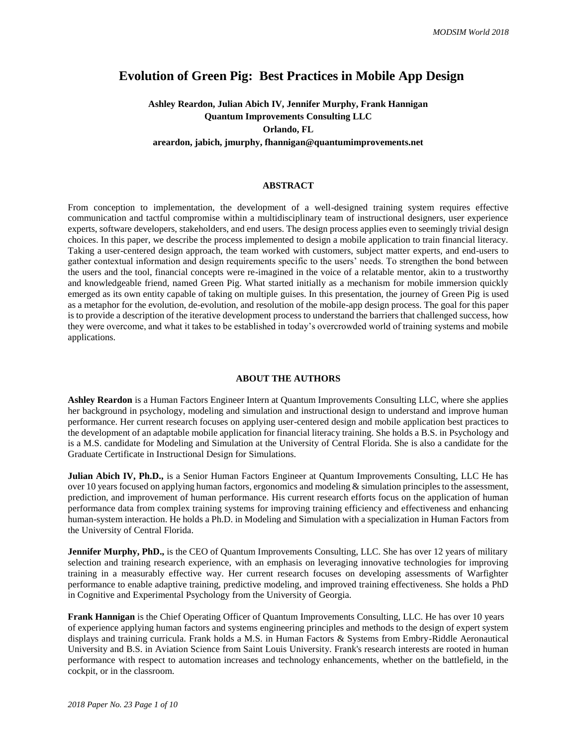# **Evolution of Green Pig: Best Practices in Mobile App Design**

# **Ashley Reardon, Julian Abich IV, Jennifer Murphy, Frank Hannigan Quantum Improvements Consulting LLC Orlando, FL areardon, jabich, jmurphy, fhannigan@quantumimprovements.net**

### **ABSTRACT**

From conception to implementation, the development of a well-designed training system requires effective communication and tactful compromise within a multidisciplinary team of instructional designers, user experience experts, software developers, stakeholders, and end users. The design process applies even to seemingly trivial design choices. In this paper, we describe the process implemented to design a mobile application to train financial literacy. Taking a user-centered design approach, the team worked with customers, subject matter experts, and end-users to gather contextual information and design requirements specific to the users' needs. To strengthen the bond between the users and the tool, financial concepts were re-imagined in the voice of a relatable mentor, akin to a trustworthy and knowledgeable friend, named Green Pig. What started initially as a mechanism for mobile immersion quickly emerged as its own entity capable of taking on multiple guises. In this presentation, the journey of Green Pig is used as a metaphor for the evolution, de-evolution, and resolution of the mobile-app design process. The goal for this paper is to provide a description of the iterative development process to understand the barriers that challenged success, how they were overcome, and what it takes to be established in today's overcrowded world of training systems and mobile applications.

## **ABOUT THE AUTHORS**

**Ashley Reardon** is a Human Factors Engineer Intern at Quantum Improvements Consulting LLC, where she applies her background in psychology, modeling and simulation and instructional design to understand and improve human performance. Her current research focuses on applying user-centered design and mobile application best practices to the development of an adaptable mobile application for financial literacy training. She holds a B.S. in Psychology and is a M.S. candidate for Modeling and Simulation at the University of Central Florida. She is also a candidate for the Graduate Certificate in Instructional Design for Simulations.

**Julian Abich IV, Ph.D.,** is a Senior Human Factors Engineer at Quantum Improvements Consulting, LLC He has over 10 years focused on applying human factors, ergonomics and modeling  $\&$  simulation principles to the assessment, prediction, and improvement of human performance. His current research efforts focus on the application of human performance data from complex training systems for improving training efficiency and effectiveness and enhancing human-system interaction. He holds a Ph.D. in Modeling and Simulation with a specialization in Human Factors from the University of Central Florida.

**Jennifer Murphy, PhD.,** is the CEO of Quantum Improvements Consulting, LLC. She has over 12 years of military selection and training research experience, with an emphasis on leveraging innovative technologies for improving training in a measurably effective way. Her current research focuses on developing assessments of Warfighter performance to enable adaptive training, predictive modeling, and improved training effectiveness. She holds a PhD in Cognitive and Experimental Psychology from the University of Georgia.

**Frank Hannigan** is the Chief Operating Officer of Quantum Improvements Consulting, LLC. He has over 10 years of experience applying human factors and systems engineering principles and methods to the design of expert system displays and training curricula. Frank holds a M.S. in Human Factors & Systems from Embry-Riddle Aeronautical University and B.S. in Aviation Science from Saint Louis University. Frank's research interests are rooted in human performance with respect to automation increases and technology enhancements, whether on the battlefield, in the cockpit, or in the classroom.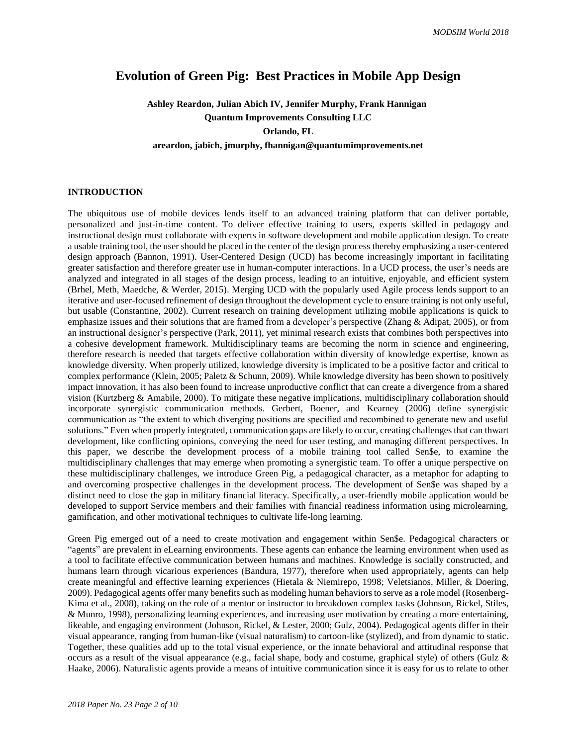# **Evolution of Green Pig: Best Practices in Mobile App Design**

**Ashley Reardon, Julian Abich IV, Jennifer Murphy, Frank Hannigan Quantum Improvements Consulting LLC Orlando, FL areardon, jabich, jmurphy, fhannigan@quantumimprovements.net**

## **INTRODUCTION**

The ubiquitous use of mobile devices lends itself to an advanced training platform that can deliver portable, personalized and just-in-time content. To deliver effective training to users, experts skilled in pedagogy and instructional design must collaborate with experts in software development and mobile application design. To create a usable training tool, the user should be placed in the center of the design process thereby emphasizing a user-centered design approach (Bannon, 1991). User-Centered Design (UCD) has become increasingly important in facilitating greater satisfaction and therefore greater use in human-computer interactions. In a UCD process, the user's needs are analyzed and integrated in all stages of the design process, leading to an intuitive, enjoyable, and efficient system (Brhel, Meth, Maedche, & Werder, 2015). Merging UCD with the popularly used Agile process lends support to an iterative and user-focused refinement of design throughout the development cycle to ensure training is not only useful, but usable (Constantine, 2002). Current research on training development utilizing mobile applications is quick to emphasize issues and their solutions that are framed from a developer's perspective (Zhang & Adipat, 2005), or from an instructional designer's perspective (Park, 2011), yet minimal research exists that combines both perspectives into a cohesive development framework. Multidisciplinary teams are becoming the norm in science and engineering, therefore research is needed that targets effective collaboration within diversity of knowledge expertise, known as knowledge diversity. When properly utilized, knowledge diversity is implicated to be a positive factor and critical to complex performance (Klein, 2005; Paletz & Schunn, 2009). While knowledge diversity has been shown to positively impact innovation, it has also been found to increase unproductive conflict that can create a divergence from a shared vision (Kurtzberg & Amabile, 2000). To mitigate these negative implications, multidisciplinary collaboration should incorporate synergistic communication methods. Gerbert, Boener, and Kearney (2006) define synergistic communication as "the extent to which diverging positions are specified and recombined to generate new and useful solutions." Even when properly integrated, communication gaps are likely to occur, creating challenges that can thwart development, like conflicting opinions, conveying the need for user testing, and managing different perspectives. In this paper, we describe the development process of a mobile training tool called Sen\$e, to examine the multidisciplinary challenges that may emerge when promoting a synergistic team. To offer a unique perspective on these multidisciplinary challenges, we introduce Green Pig, a pedagogical character, as a metaphor for adapting to and overcoming prospective challenges in the development process. The development of Sen\$e was shaped by a distinct need to close the gap in military financial literacy. Specifically, a user-friendly mobile application would be developed to support Service members and their families with financial readiness information using microlearning, gamification, and other motivational techniques to cultivate life-long learning.

Green Pig emerged out of a need to create motivation and engagement within Sen\$e. Pedagogical characters or "agents" are prevalent in eLearning environments. These agents can enhance the learning environment when used as a tool to facilitate effective communication between humans and machines. Knowledge is socially constructed, and humans learn through vicarious experiences (Bandura, 1977), therefore when used appropriately, agents can help create meaningful and effective learning experiences (Hietala & Niemirepo, 1998; Veletsianos, Miller, & Doering, 2009). Pedagogical agents offer many benefits such as modeling human behaviors to serve as a role model (Rosenberg-Kima et al., 2008), taking on the role of a mentor or instructor to breakdown complex tasks (Johnson, Rickel, Stiles, & Munro, 1998), personalizing learning experiences, and increasing user motivation by creating a more entertaining, likeable, and engaging environment (Johnson, Rickel, & Lester, 2000; Gulz, 2004). Pedagogical agents differ in their visual appearance, ranging from human-like (visual naturalism) to cartoon-like (stylized), and from dynamic to static. Together, these qualities add up to the total visual experience, or the innate behavioral and attitudinal response that occurs as a result of the visual appearance (e.g., facial shape, body and costume, graphical style) of others (Gulz & Haake, 2006). Naturalistic agents provide a means of intuitive communication since it is easy for us to relate to other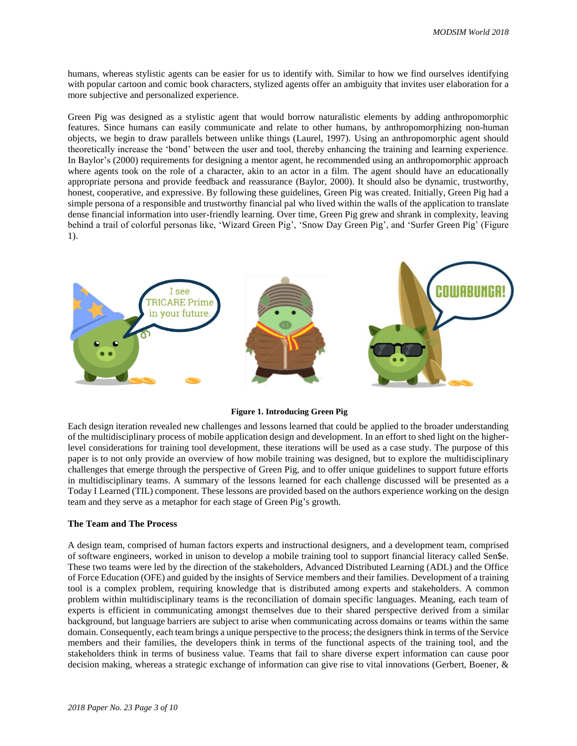humans, whereas stylistic agents can be easier for us to identify with. Similar to how we find ourselves identifying with popular cartoon and comic book characters, stylized agents offer an ambiguity that invites user elaboration for a more subjective and personalized experience.

Green Pig was designed as a stylistic agent that would borrow naturalistic elements by adding anthropomorphic features. Since humans can easily communicate and relate to other humans, by anthropomorphizing non-human objects, we begin to draw parallels between unlike things (Laurel, 1997). Using an anthropomorphic agent should theoretically increase the 'bond' between the user and tool, thereby enhancing the training and learning experience. In Baylor's (2000) requirements for designing a mentor agent, he recommended using an anthropomorphic approach where agents took on the role of a character, akin to an actor in a film. The agent should have an educationally appropriate persona and provide feedback and reassurance (Baylor, 2000). It should also be dynamic, trustworthy, honest, cooperative, and expressive. By following these guidelines, Green Pig was created. Initially, Green Pig had a simple persona of a responsible and trustworthy financial pal who lived within the walls of the application to translate dense financial information into user-friendly learning. Over time, Green Pig grew and shrank in complexity, leaving behind a trail of colorful personas like, 'Wizard Green Pig', 'Snow Day Green Pig', and 'Surfer Green Pig' (Figure 1).



**Figure 1. Introducing Green Pig**

Each design iteration revealed new challenges and lessons learned that could be applied to the broader understanding of the multidisciplinary process of mobile application design and development. In an effort to shed light on the higherlevel considerations for training tool development, these iterations will be used as a case study. The purpose of this paper is to not only provide an overview of how mobile training was designed, but to explore the multidisciplinary challenges that emerge through the perspective of Green Pig, and to offer unique guidelines to support future efforts in multidisciplinary teams. A summary of the lessons learned for each challenge discussed will be presented as a Today I Learned (TIL) component. These lessons are provided based on the authors experience working on the design team and they serve as a metaphor for each stage of Green Pig's growth.

#### **The Team and The Process**

A design team, comprised of human factors experts and instructional designers, and a development team, comprised of software engineers, worked in unison to develop a mobile training tool to support financial literacy called Sen\$e. These two teams were led by the direction of the stakeholders, Advanced Distributed Learning (ADL) and the Office of Force Education (OFE) and guided by the insights of Service members and their families. Development of a training tool is a complex problem, requiring knowledge that is distributed among experts and stakeholders. A common problem within multidisciplinary teams is the reconciliation of domain specific languages. Meaning, each team of experts is efficient in communicating amongst themselves due to their shared perspective derived from a similar background, but language barriers are subject to arise when communicating across domains or teams within the same domain. Consequently, each team brings a unique perspective to the process; the designers think in terms of the Service members and their families, the developers think in terms of the functional aspects of the training tool, and the stakeholders think in terms of business value. Teams that fail to share diverse expert information can cause poor decision making, whereas a strategic exchange of information can give rise to vital innovations (Gerbert, Boener, &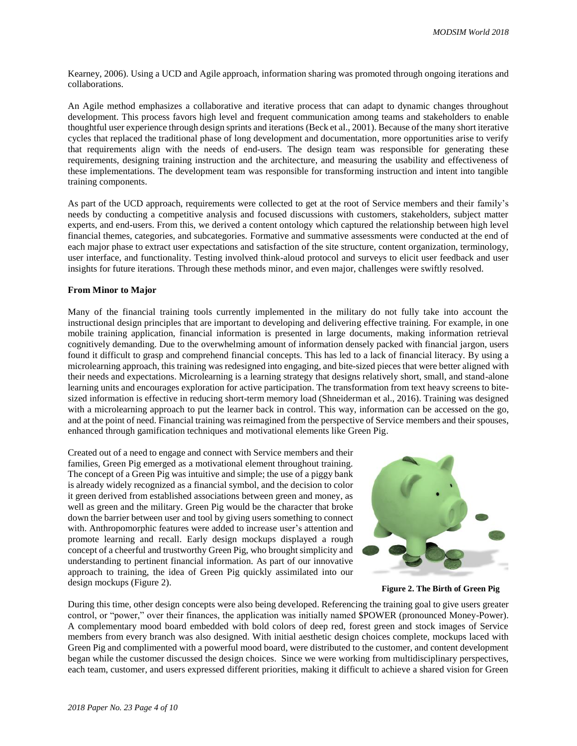Kearney, 2006). Using a UCD and Agile approach, information sharing was promoted through ongoing iterations and collaborations.

An Agile method emphasizes a collaborative and iterative process that can adapt to dynamic changes throughout development. This process favors high level and frequent communication among teams and stakeholders to enable thoughtful user experience through design sprints and iterations (Beck et al., 2001). Because of the many short iterative cycles that replaced the traditional phase of long development and documentation, more opportunities arise to verify that requirements align with the needs of end-users. The design team was responsible for generating these requirements, designing training instruction and the architecture, and measuring the usability and effectiveness of these implementations. The development team was responsible for transforming instruction and intent into tangible training components.

As part of the UCD approach, requirements were collected to get at the root of Service members and their family's needs by conducting a competitive analysis and focused discussions with customers, stakeholders, subject matter experts, and end-users. From this, we derived a content ontology which captured the relationship between high level financial themes, categories, and subcategories. Formative and summative assessments were conducted at the end of each major phase to extract user expectations and satisfaction of the site structure, content organization, terminology, user interface, and functionality. Testing involved think-aloud protocol and surveys to elicit user feedback and user insights for future iterations. Through these methods minor, and even major, challenges were swiftly resolved.

### **From Minor to Major**

Many of the financial training tools currently implemented in the military do not fully take into account the instructional design principles that are important to developing and delivering effective training. For example, in one mobile training application, financial information is presented in large documents, making information retrieval cognitively demanding. Due to the overwhelming amount of information densely packed with financial jargon, users found it difficult to grasp and comprehend financial concepts. This has led to a lack of financial literacy. By using a microlearning approach, this training was redesigned into engaging, and bite-sized pieces that were better aligned with their needs and expectations. Microlearning is a learning strategy that designs relatively short, small, and stand-alone learning units and encourages exploration for active participation. The transformation from text heavy screens to bitesized information is effective in reducing short-term memory load (Shneiderman et al., 2016). Training was designed with a microlearning approach to put the learner back in control. This way, information can be accessed on the go, and at the point of need. Financial training was reimagined from the perspective of Service members and their spouses, enhanced through gamification techniques and motivational elements like Green Pig.

Created out of a need to engage and connect with Service members and their families, Green Pig emerged as a motivational element throughout training. The concept of a Green Pig was intuitive and simple; the use of a piggy bank is already widely recognized as a financial symbol, and the decision to color it green derived from established associations between green and money, as well as green and the military. Green Pig would be the character that broke down the barrier between user and tool by giving users something to connect with. Anthropomorphic features were added to increase user's attention and promote learning and recall. Early design mockups displayed a rough concept of a cheerful and trustworthy Green Pig, who brought simplicity and understanding to pertinent financial information. As part of our innovative approach to training, the idea of Green Pig quickly assimilated into our design mockups (Figure 2).



**Figure 2. The Birth of Green Pig**

During this time, other design concepts were also being developed. Referencing the training goal to give users greater control, or "power," over their finances, the application was initially named \$POWER (pronounced Money-Power). A complementary mood board embedded with bold colors of deep red, forest green and stock images of Service members from every branch was also designed. With initial aesthetic design choices complete, mockups laced with Green Pig and complimented with a powerful mood board, were distributed to the customer, and content development began while the customer discussed the design choices. Since we were working from multidisciplinary perspectives, each team, customer, and users expressed different priorities, making it difficult to achieve a shared vision for Green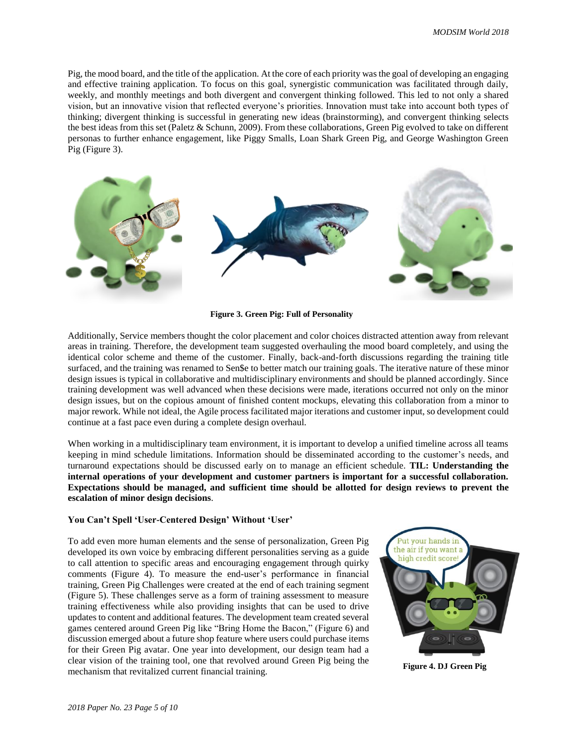Pig, the mood board, and the title of the application. At the core of each priority was the goal of developing an engaging and effective training application. To focus on this goal, synergistic communication was facilitated through daily, weekly, and monthly meetings and both divergent and convergent thinking followed. This led to not only a shared vision, but an innovative vision that reflected everyone's priorities. Innovation must take into account both types of thinking; divergent thinking is successful in generating new ideas (brainstorming), and convergent thinking selects the best ideas from this set (Paletz & Schunn, 2009). From these collaborations, Green Pig evolved to take on different personas to further enhance engagement, like Piggy Smalls, Loan Shark Green Pig, and George Washington Green Pig (Figure 3).



**Figure 3. Green Pig: Full of Personality**

Additionally, Service members thought the color placement and color choices distracted attention away from relevant areas in training. Therefore, the development team suggested overhauling the mood board completely, and using the identical color scheme and theme of the customer. Finally, back-and-forth discussions regarding the training title surfaced, and the training was renamed to Sen\$e to better match our training goals. The iterative nature of these minor design issues is typical in collaborative and multidisciplinary environments and should be planned accordingly. Since training development was well advanced when these decisions were made, iterations occurred not only on the minor design issues, but on the copious amount of finished content mockups, elevating this collaboration from a minor to major rework. While not ideal, the Agile process facilitated major iterations and customer input, so development could continue at a fast pace even during a complete design overhaul.

When working in a multidisciplinary team environment, it is important to develop a unified timeline across all teams keeping in mind schedule limitations. Information should be disseminated according to the customer's needs, and turnaround expectations should be discussed early on to manage an efficient schedule. **TIL: Understanding the internal operations of your development and customer partners is important for a successful collaboration. Expectations should be managed, and sufficient time should be allotted for design reviews to prevent the escalation of minor design decisions**.

#### **You Can't Spell 'User-Centered Design' Without 'User'**

To add even more human elements and the sense of personalization, Green Pig developed its own voice by embracing different personalities serving as a guide to call attention to specific areas and encouraging engagement through quirky comments (Figure 4). To measure the end-user's performance in financial training, Green Pig Challenges were created at the end of each training segment (Figure 5). These challenges serve as a form of training assessment to measure training effectiveness while also providing insights that can be used to drive updates to content and additional features. The development team created several games centered around Green Pig like "Bring Home the Bacon," (Figure 6) and discussion emerged about a future shop feature where users could purchase items for their Green Pig avatar. One year into development, our design team had a clear vision of the training tool, one that revolved around Green Pig being the mechanism that revitalized current financial training.



**Figure 4. DJ Green Pig**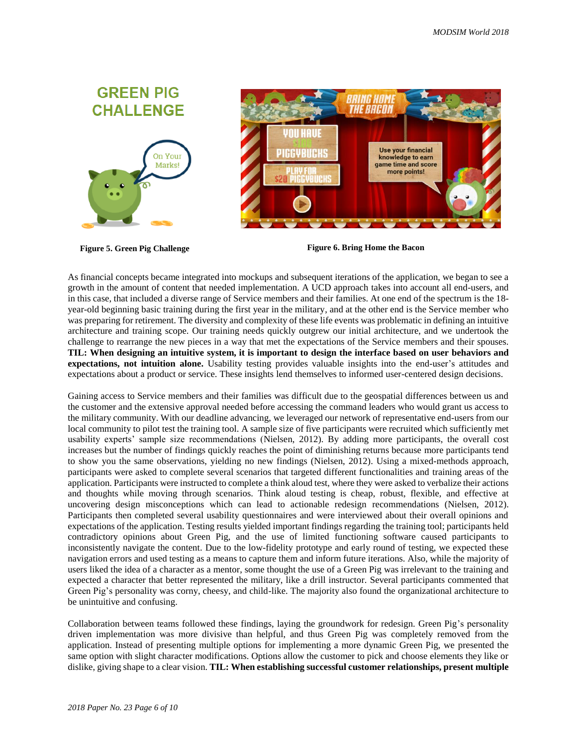



**Figure 5. Green Pig Challenge Figure 6. Bring Home the Bacon** 

As financial concepts became integrated into mockups and subsequent iterations of the application, we began to see a growth in the amount of content that needed implementation. A UCD approach takes into account all end-users, and in this case, that included a diverse range of Service members and their families. At one end of the spectrum is the 18 year-old beginning basic training during the first year in the military, and at the other end is the Service member who was preparing for retirement. The diversity and complexity of these life events was problematic in defining an intuitive architecture and training scope. Our training needs quickly outgrew our initial architecture, and we undertook the challenge to rearrange the new pieces in a way that met the expectations of the Service members and their spouses. **TIL: When designing an intuitive system, it is important to design the interface based on user behaviors and expectations, not intuition alone.** Usability testing provides valuable insights into the end-user's attitudes and expectations about a product or service. These insights lend themselves to informed user-centered design decisions.

Gaining access to Service members and their families was difficult due to the geospatial differences between us and the customer and the extensive approval needed before accessing the command leaders who would grant us access to the military community. With our deadline advancing, we leveraged our network of representative end-users from our local community to pilot test the training tool. A sample size of five participants were recruited which sufficiently met usability experts' sample size recommendations [\(Nielsen,](https://www.nngroup.com/articles/how-many-test-users/) 2012). By adding more participants, the overall cost increases but the number of findings quickly reaches the point of diminishing returns because more participants tend to show you the same observations, yielding no new findings (Nielsen, 2012). Using a mixed-methods approach, participants were asked to complete several scenarios that targeted different functionalities and training areas of the application. Participants were instructed to complete a think aloud test, where they were asked to verbalize their actions and thoughts while moving through scenarios. Think aloud testing is cheap, robust, flexible, and effective at uncovering design misconceptions which can lead to actionable redesign recommendations (Nielsen, 2012). Participants then completed several usability questionnaires and were interviewed about their overall opinions and expectations of the application. Testing results yielded important findings regarding the training tool; participants held contradictory opinions about Green Pig, and the use of limited functioning software caused participants to inconsistently navigate the content. Due to the low-fidelity prototype and early round of testing, we expected these navigation errors and used testing as a means to capture them and inform future iterations. Also, while the majority of users liked the idea of a character as a mentor, some thought the use of a Green Pig was irrelevant to the training and expected a character that better represented the military, like a drill instructor. Several participants commented that Green Pig's personality was corny, cheesy, and child-like. The majority also found the organizational architecture to be unintuitive and confusing.

Collaboration between teams followed these findings, laying the groundwork for redesign. Green Pig's personality driven implementation was more divisive than helpful, and thus Green Pig was completely removed from the application. Instead of presenting multiple options for implementing a more dynamic Green Pig, we presented the same option with slight character modifications. Options allow the customer to pick and choose elements they like or dislike, giving shape to a clear vision. **TIL: When establishing successful customer relationships, present multiple**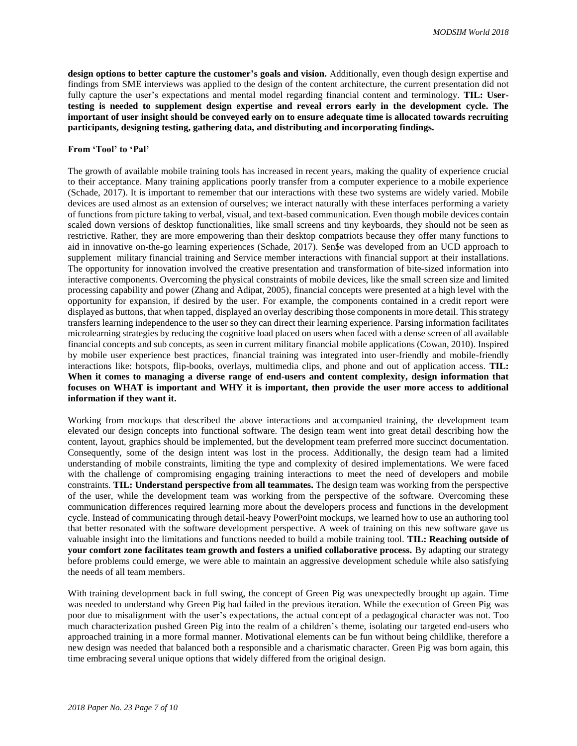**design options to better capture the customer's goals and vision.** Additionally, even though design expertise and findings from SME interviews was applied to the design of the content architecture, the current presentation did not fully capture the user's expectations and mental model regarding financial content and terminology. **TIL: Usertesting is needed to supplement design expertise and reveal errors early in the development cycle. The important of user insight should be conveyed early on to ensure adequate time is allocated towards recruiting participants, designing testing, gathering data, and distributing and incorporating findings.** 

## **From 'Tool' to 'Pal'**

The growth of available mobile training tools has increased in recent years, making the quality of experience crucial to their acceptance. Many training applications poorly transfer from a computer experience to a mobile experience (Schade, 2017). It is important to remember that our interactions with these two systems are widely varied. Mobile devices are used almost as an extension of ourselves; we interact naturally with these interfaces performing a variety of functions from picture taking to verbal, visual, and text-based communication. Even though mobile devices contain scaled down versions of desktop functionalities, like small screens and tiny keyboards, they should not be seen as restrictive. Rather, they are more empowering than their desktop compatriots because they offer many functions to aid in innovative on-the-go learning experiences (Schade, 2017). Sen\$e was developed from an UCD approach to supplement military financial training and Service member interactions with financial support at their installations. The opportunity for innovation involved the creative presentation and transformation of bite-sized information into interactive components. Overcoming the physical constraints of mobile devices, like the small screen size and limited processing capability and power (Zhang and Adipat, 2005), financial concepts were presented at a high level with the opportunity for expansion, if desired by the user. For example, the components contained in a credit report were displayed as buttons, that when tapped, displayed an overlay describing those components in more detail. This strategy transfers learning independence to the user so they can direct their learning experience. Parsing information facilitates microlearning strategies by reducing the cognitive load placed on users when faced with a dense screen of all available financial concepts and sub concepts, as seen in current military financial mobile applications (Cowan, 2010). Inspired by mobile user experience best practices, financial training was integrated into user-friendly and mobile-friendly interactions like: hotspots, flip-books, overlays, multimedia clips, and phone and out of application access. **TIL: When it comes to managing a diverse range of end-users and content complexity, design information that focuses on WHAT is important and WHY it is important, then provide the user more access to additional information if they want it.**

Working from mockups that described the above interactions and accompanied training, the development team elevated our design concepts into functional software. The design team went into great detail describing how the content, layout, graphics should be implemented, but the development team preferred more succinct documentation. Consequently, some of the design intent was lost in the process. Additionally, the design team had a limited understanding of mobile constraints, limiting the type and complexity of desired implementations. We were faced with the challenge of compromising engaging training interactions to meet the need of developers and mobile constraints. **TIL: Understand perspective from all teammates.** The design team was working from the perspective of the user, while the development team was working from the perspective of the software. Overcoming these communication differences required learning more about the developers process and functions in the development cycle. Instead of communicating through detail-heavy PowerPoint mockups, we learned how to use an authoring tool that better resonated with the software development perspective. A week of training on this new software gave us valuable insight into the limitations and functions needed to build a mobile training tool. **TIL: Reaching outside of your comfort zone facilitates team growth and fosters a unified collaborative process.** By adapting our strategy before problems could emerge, we were able to maintain an aggressive development schedule while also satisfying the needs of all team members.

With training development back in full swing, the concept of Green Pig was unexpectedly brought up again. Time was needed to understand why Green Pig had failed in the previous iteration. While the execution of Green Pig was poor due to misalignment with the user's expectations, the actual concept of a pedagogical character was not. Too much characterization pushed Green Pig into the realm of a children's theme, isolating our targeted end-users who approached training in a more formal manner. Motivational elements can be fun without being childlike, therefore a new design was needed that balanced both a responsible and a charismatic character. Green Pig was born again, this time embracing several unique options that widely differed from the original design.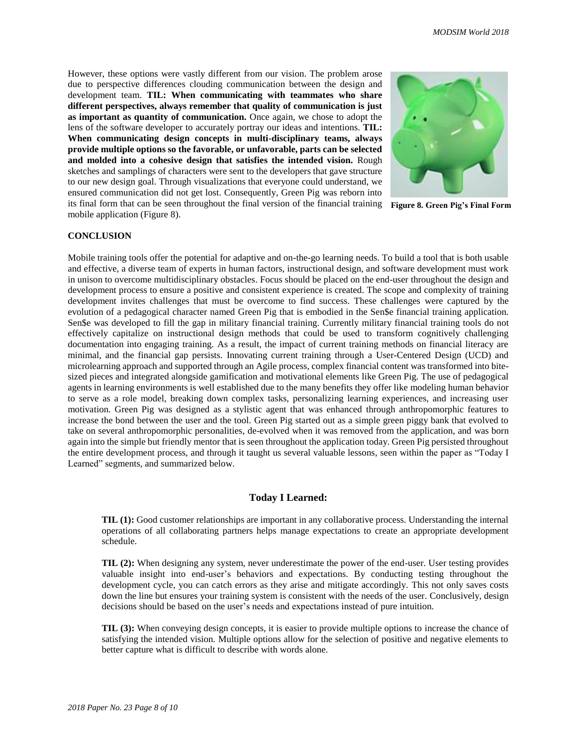However, these options were vastly different from our vision. The problem arose due to perspective differences clouding communication between the design and development team. **TIL: When communicating with teammates who share different perspectives, always remember that quality of communication is just as important as quantity of communication.** Once again, we chose to adopt the lens of the software developer to accurately portray our ideas and intentions. **TIL: When communicating design concepts in multi-disciplinary teams, always provide multiple options so the favorable, or unfavorable, parts can be selected and molded into a cohesive design that satisfies the intended vision.** Rough sketches and samplings of characters were sent to the developers that gave structure to our new design goal. Through visualizations that everyone could understand, we ensured communication did not get lost. Consequently, Green Pig was reborn into its final form that can be seen throughout the final version of the financial training **Figure 8. Green Pig's Final Form**mobile application (Figure 8).



#### **CONCLUSION**

Mobile training tools offer the potential for adaptive and on-the-go learning needs. To build a tool that is both usable and effective, a diverse team of experts in human factors, instructional design, and software development must work in unison to overcome multidisciplinary obstacles. Focus should be placed on the end-user throughout the design and development process to ensure a positive and consistent experience is created. The scope and complexity of training development invites challenges that must be overcome to find success. These challenges were captured by the evolution of a pedagogical character named Green Pig that is embodied in the Sen\$e financial training application. Sen\$e was developed to fill the gap in military financial training. Currently military financial training tools do not effectively capitalize on instructional design methods that could be used to transform cognitively challenging documentation into engaging training. As a result, the impact of current training methods on financial literacy are minimal, and the financial gap persists. Innovating current training through a User-Centered Design (UCD) and microlearning approach and supported through an Agile process, complex financial content was transformed into bitesized pieces and integrated alongside gamification and motivational elements like Green Pig. The use of pedagogical agents in learning environments is well established due to the many benefits they offer like modeling human behavior to serve as a role model, breaking down complex tasks, personalizing learning experiences, and increasing user motivation. Green Pig was designed as a stylistic agent that was enhanced through anthropomorphic features to increase the bond between the user and the tool. Green Pig started out as a simple green piggy bank that evolved to take on several anthropomorphic personalities, de-evolved when it was removed from the application, and was born again into the simple but friendly mentor that is seen throughout the application today. Green Pig persisted throughout the entire development process, and through it taught us several valuable lessons, seen within the paper as "Today I Learned" segments, and summarized below.

## **Today I Learned:**

**TIL (1):** Good customer relationships are important in any collaborative process. Understanding the internal operations of all collaborating partners helps manage expectations to create an appropriate development schedule.

**TIL (2):** When designing any system, never underestimate the power of the end-user. User testing provides valuable insight into end-user's behaviors and expectations. By conducting testing throughout the development cycle, you can catch errors as they arise and mitigate accordingly. This not only saves costs down the line but ensures your training system is consistent with the needs of the user. Conclusively, design decisions should be based on the user's needs and expectations instead of pure intuition.

**TIL (3):** When conveying design concepts, it is easier to provide multiple options to increase the chance of satisfying the intended vision. Multiple options allow for the selection of positive and negative elements to better capture what is difficult to describe with words alone.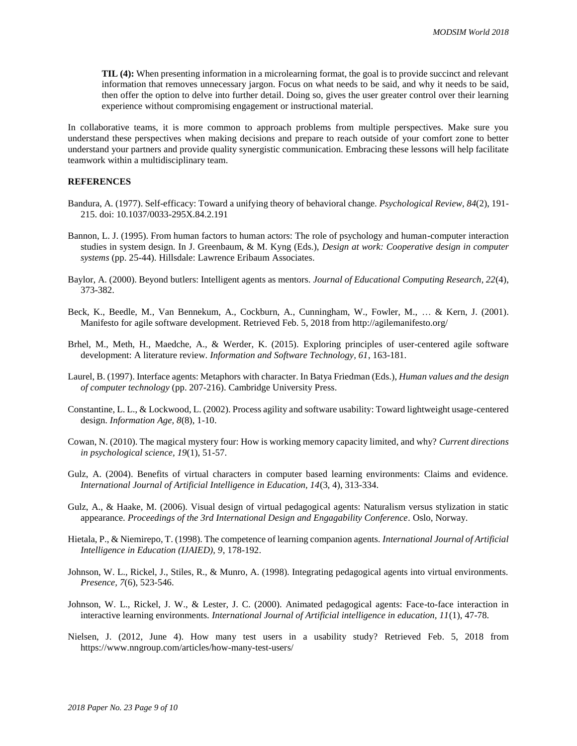**TIL (4):** When presenting information in a microlearning format, the goal is to provide succinct and relevant information that removes unnecessary jargon. Focus on what needs to be said, and why it needs to be said, then offer the option to delve into further detail. Doing so, gives the user greater control over their learning experience without compromising engagement or instructional material.

In collaborative teams, it is more common to approach problems from multiple perspectives. Make sure you understand these perspectives when making decisions and prepare to reach outside of your comfort zone to better understand your partners and provide quality synergistic communication. Embracing these lessons will help facilitate teamwork within a multidisciplinary team.

## **REFERENCES**

- Bandura, A. (1977). Self-efficacy: Toward a unifying theory of behavioral change. *Psychological Review, 84*(2), 191- 215. doi: 10.1037/0033-295X.84.2.191
- Bannon, L. J. (1995). From human factors to human actors: The role of psychology and human-computer interaction studies in system design. In J. Greenbaum, & M. Kyng (Eds.), *Design at work: Cooperative design in computer systems* (pp. 25-44). Hillsdale: Lawrence Eribaum Associates.
- Baylor, A. (2000). Beyond butlers: Intelligent agents as mentors. *Journal of Educational Computing Research, 22*(4), 373-382.
- Beck, K., Beedle, M., Van Bennekum, A., Cockburn, A., Cunningham, W., Fowler, M., … & Kern, J. (2001). Manifesto for agile software development. Retrieved Feb. 5, 2018 from http://agilemanifesto.org/
- Brhel, M., Meth, H., Maedche, A., & Werder, K. (2015). Exploring principles of user-centered agile software development: A literature review. *Information and Software Technology, 61*, 163-181.
- Laurel, B. (1997). Interface agents: Metaphors with character. In Batya Friedman (Eds.), *Human values and the design of computer technology* (pp. 207-216). Cambridge University Press.
- Constantine, L. L., & Lockwood, L. (2002). Process agility and software usability: Toward lightweight usage-centered design. *Information Age, 8*(8), 1-10.
- Cowan, N. (2010). The magical mystery four: How is working memory capacity limited, and why? *Current directions in psychological science, 19*(1), 51-57.
- Gulz, A. (2004). Benefits of virtual characters in computer based learning environments: Claims and evidence. *International Journal of Artificial Intelligence in Education, 14*(3, 4), 313-334.
- Gulz, A., & Haake, M. (2006). Visual design of virtual pedagogical agents: Naturalism versus stylization in static appearance. *Proceedings of the 3rd International Design and Engagability Conference.* Oslo, Norway.
- Hietala, P., & Niemirepo, T. (1998). The competence of learning companion agents. *International Journal of Artificial Intelligence in Education (IJAIED), 9*, 178-192.
- Johnson, W. L., Rickel, J., Stiles, R., & Munro, A. (1998). Integrating pedagogical agents into virtual environments. *Presence, 7*(6), 523-546.
- Johnson, W. L., Rickel, J. W., & Lester, J. C. (2000). Animated pedagogical agents: Face-to-face interaction in interactive learning environments. *International Journal of Artificial intelligence in education, 11*(1), 47-78.
- Nielsen, J. (2012, June 4). How many test users in a usability study? Retrieved Feb. 5, 2018 from https://www.nngroup.com/articles/how-many-test-users/